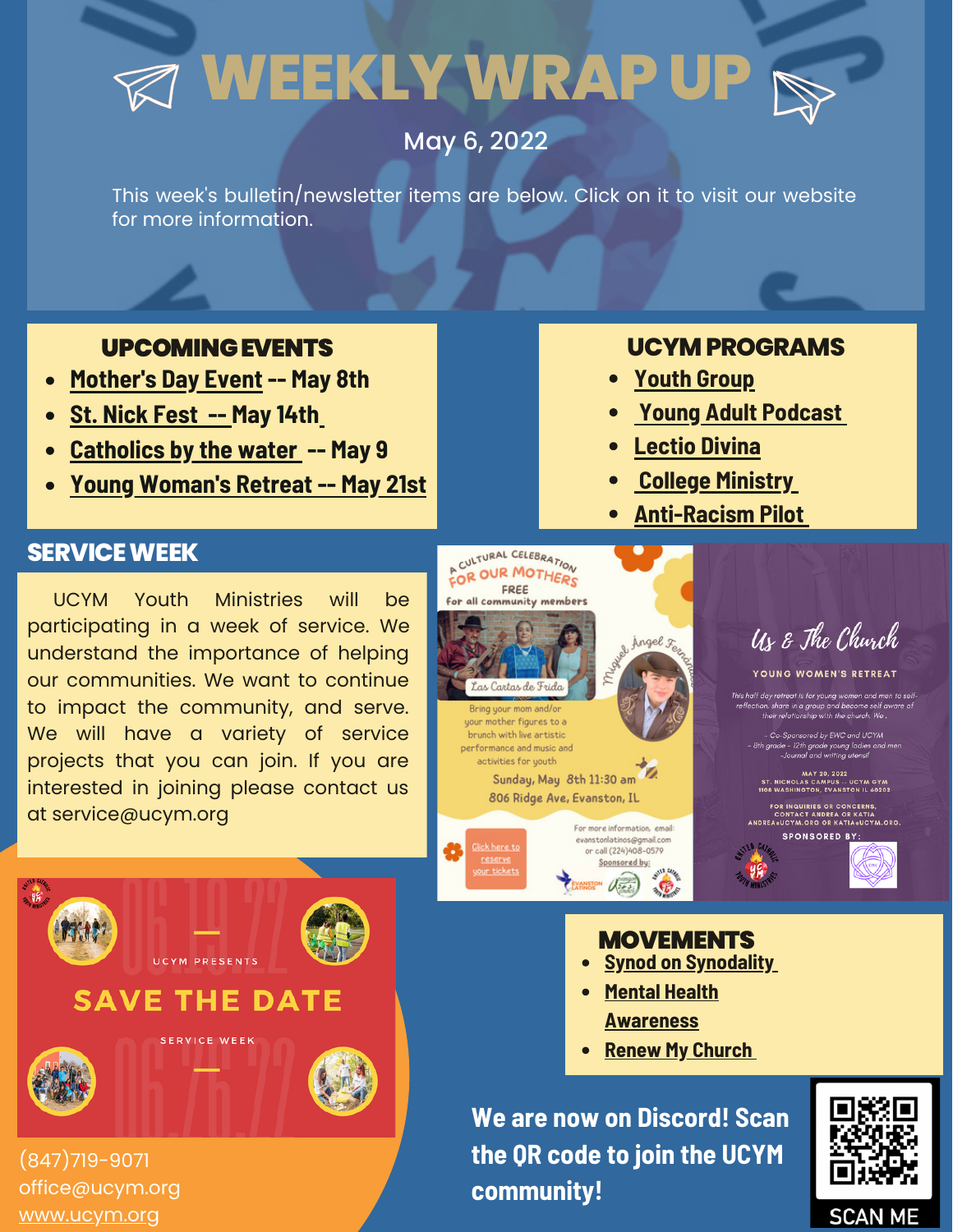# **WEEKLYWRAP UP**

## May 6, 2022

This week's bulletin/newsletter items are below. Click on it to visit our website for more information.

### UPCOMINGEVENTS

- **[Mother's](https://www.eventbrite.com/e/evento-cultural-dia-de-la-madres-tickets-308389259577) Day Event -- May 8th**
- **St. Nick Fest -- May 14th**
- **[Catholics](https://www.instagram.com/p/CdO1RzxrULN/) by the wate[r](https://www.instagram.com/p/CdO1RzxrULN/) -- May 9**
- **Young Woman's Retreat -- May 21st**

### **UCYMPROGRAMS**

- **Youth [Group](https://www.ucym.org/youth-group.html)**
- **Young Adult [Podcast](https://www.ucym.org/college-outreach.html)**
- **[Lectio](https://www.ucym.org/college-outreach.html) Divina**
- **College [Ministry](https://www.ucym.org/college-outreach.html)**
- **[Anti-Racism](https://www.ucym.org/pilot.html) Pilot**

#### **SERVICE WEEK**

UCYM Youth Ministries will be participating in a week of service. We understand the importance of helping our communities. We want to continue to impact the community, and serve. We will have a variety of service projects that you can join. If you are interested in joining please contact us at service@ucym.org

**UCYM PRESENTS** 

**SAVE THE DATE** 

SERVICE WEEK



Us & The Church

YOUNG WOMEN'S PETPEAT

This half day retreat is for young w d men to sel ,<br>n, share in a group and become self av<br>their relationship with the church. We .

- Co-Sponsored by EWC and UCYM<br>1 grade - 12th grade young ladies and men<br>-Journal and writing utensil

MAY 20, 2022<br>T. NICHOLAS CAMPUS -- UCYM GYM<br>08 WASHINGTON, EVANSTON IL 60202

FOR INQUIRIES OR CONCERNS,<br>CONTACT ANDREA OR KATIA<br>REA«UCYM.ORG OR KATIA«UCYI

**SPONSORED BY:** 



# **MOVEMENTS**

- **Synod on [Synodality](https://www.ucym.org/synod.html)**
- **Mental Health [Awareness](https://www.ucym.org/mental-health-awareness.html)**
- **Renew My [Church](https://www.ucym.org/rmc.html)**

**We are now on Discord! Scan the QR code to join the UCYM community!**



(847)719-9071 office@ucym.org [www.ucym.org](http://www.ucym.org/)